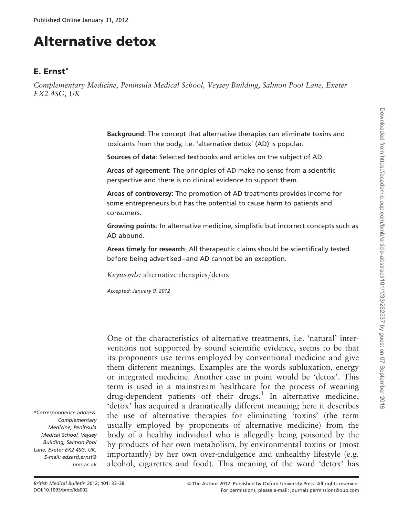# Alternative detox

### E. Ernst\*

Complementary Medicine, Peninsula Medical School, Veysey Building, Salmon Pool Lane, Exeter EX2 4SG, UK

> Background: The concept that alternative therapies can eliminate toxins and toxicants from the body, i.e. 'alternative detox' (AD) is popular.

Sources of data: Selected textbooks and articles on the subject of AD.

Areas of agreement: The principles of AD make no sense from a scientific perspective and there is no clinical evidence to support them.

Areas of controversy: The promotion of AD treatments provides income for some entrepreneurs but has the potential to cause harm to patients and consumers.

Growing points: In alternative medicine, simplistic but incorrect concepts such as AD abound.

Areas timely for research: All therapeutic claims should be scientifically tested before being advertised–and AD cannot be an exception.

Keywords: alternative therapies/detox

Accepted: January 9, 2012

One of the characteristics of alternative treatments, i.e. 'natural' interventions not supported by sound scientific evidence, seems to be that its proponents use terms employed by conventional medicine and give them different meanings. Examples are the words subluxation, energy or integrated medicine. Another case in point would be 'detox'. This term is used in a mainstream healthcare for the process of weaning drug-dependent patients off their drugs.<sup>[1](#page-4-0)</sup> In alternative medicine, 'detox' has acquired a dramatically different meaning; here it describes the use of alternative therapies for eliminating 'toxins' (the term usually employed by proponents of alternative medicine) from the body of a healthy individual who is allegedly being poisoned by the by-products of her own metabolism, by environmental toxins or (most importantly) by her own over-indulgence and unhealthy lifestyle (e.g. alcohol, cigarettes and food). This meaning of the word 'detox' has

\*Correspondence address. **Complementary** Medicine, Peninsula Medical School, Veysey Building, Salmon Pool Lane, Exeter EX2 4SG, UK. E-mail: edzard.ernst@ pms.ac.uk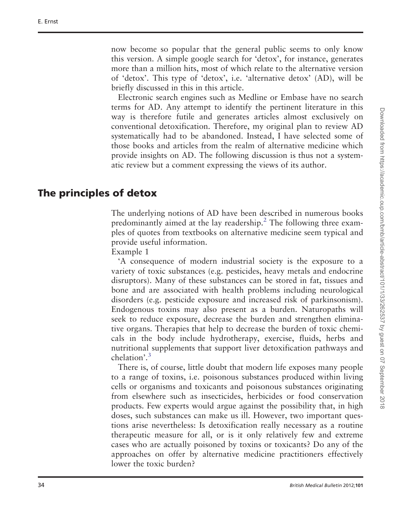now become so popular that the general public seems to only know this version. A simple google search for 'detox', for instance, generates more than a million hits, most of which relate to the alternative version of 'detox'. This type of 'detox', i.e. 'alternative detox' (AD), will be briefly discussed in this in this article.

Electronic search engines such as Medline or Embase have no search terms for AD. Any attempt to identify the pertinent literature in this way is therefore futile and generates articles almost exclusively on conventional detoxification. Therefore, my original plan to review AD systematically had to be abandoned. Instead, I have selected some of those books and articles from the realm of alternative medicine which provide insights on AD. The following discussion is thus not a systematic review but a comment expressing the views of its author.

# The principles of detox

The underlying notions of AD have been described in numerous books predominantly aimed at the lay readership.<sup>[2](#page-4-0)</sup> The following three examples of quotes from textbooks on alternative medicine seem typical and provide useful information.

Example 1

'A consequence of modern industrial society is the exposure to a variety of toxic substances (e.g. pesticides, heavy metals and endocrine disruptors). Many of these substances can be stored in fat, tissues and bone and are associated with health problems including neurological disorders (e.g. pesticide exposure and increased risk of parkinsonism). Endogenous toxins may also present as a burden. Naturopaths will seek to reduce exposure, decrease the burden and strengthen eliminative organs. Therapies that help to decrease the burden of toxic chemicals in the body include hydrotherapy, exercise, fluids, herbs and nutritional supplements that support liver detoxification pathways and chelation'.[3](#page-4-0)

There is, of course, little doubt that modern life exposes many people to a range of toxins, i.e. poisonous substances produced within living cells or organisms and toxicants and poisonous substances originating from elsewhere such as insecticides, herbicides or food conservation products. Few experts would argue against the possibility that, in high doses, such substances can make us ill. However, two important questions arise nevertheless: Is detoxification really necessary as a routine therapeutic measure for all, or is it only relatively few and extreme cases who are actually poisoned by toxins or toxicants? Do any of the approaches on offer by alternative medicine practitioners effectively lower the toxic burden?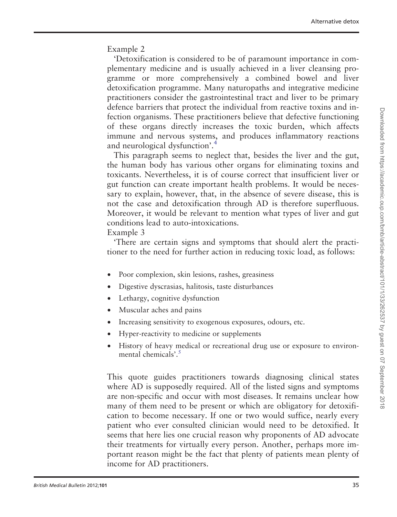Example 2

'Detoxification is considered to be of paramount importance in complementary medicine and is usually achieved in a liver cleansing programme or more comprehensively a combined bowel and liver detoxification programme. Many naturopaths and integrative medicine practitioners consider the gastrointestinal tract and liver to be primary defence barriers that protect the individual from reactive toxins and infection organisms. These practitioners believe that defective functioning of these organs directly increases the toxic burden, which affects immune and nervous systems, and produces inflammatory reactions and neurological dysfunction'.<sup>[4](#page-4-0)</sup>

This paragraph seems to neglect that, besides the liver and the gut, the human body has various other organs for eliminating toxins and toxicants. Nevertheless, it is of course correct that insufficient liver or gut function can create important health problems. It would be necessary to explain, however, that, in the absence of severe disease, this is not the case and detoxification through AD is therefore superfluous. Moreover, it would be relevant to mention what types of liver and gut conditions lead to auto-intoxications.

#### Example 3

'There are certain signs and symptoms that should alert the practitioner to the need for further action in reducing toxic load, as follows:

- † Poor complexion, skin lesions, rashes, greasiness
- Digestive dyscrasias, halitosis, taste disturbances
- Lethargy, cognitive dysfunction
- † Muscular aches and pains
- † Increasing sensitivity to exogenous exposures, odours, etc.
- † Hyper-reactivity to medicine or supplements
- † History of heavy medical or recreational drug use or exposure to environmental chemicals'. $5$

This quote guides practitioners towards diagnosing clinical states where AD is supposedly required. All of the listed signs and symptoms are non-specific and occur with most diseases. It remains unclear how many of them need to be present or which are obligatory for detoxification to become necessary. If one or two would suffice, nearly every patient who ever consulted clinician would need to be detoxified. It seems that here lies one crucial reason why proponents of AD advocate their treatments for virtually every person. Another, perhaps more important reason might be the fact that plenty of patients mean plenty of income for AD practitioners.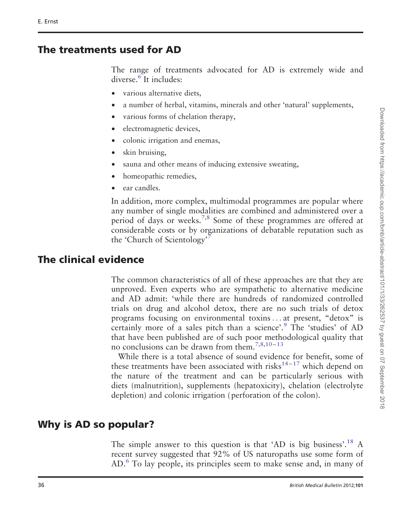### The treatments used for AD

The range of treatments advocated for AD is extremely wide and diverse.<sup>[6](#page-4-0)</sup> It includes:

- various alternative diets.
- † a number of herbal, vitamins, minerals and other 'natural' supplements,
- various forms of chelation therapy,
- electromagnetic devices,
- colonic irrigation and enemas,
- $\bullet$  skin bruising,
- sauna and other means of inducing extensive sweating,
- homeopathic remedies,
- ear candles.

In addition, more complex, multimodal programmes are popular where any number of single modalities are combined and administered over a period of days or weeks.<sup>[7](#page-4-0),[8](#page-4-0)</sup> Some of these programmes are offered at considerable costs or by organizations of debatable reputation such as the 'Church of Scientology'<sup>[7](#page-4-0)</sup>

### The clinical evidence

The common characteristics of all of these approaches are that they are unproved. Even experts who are sympathetic to alternative medicine and AD admit: 'while there are hundreds of randomized controlled trials on drug and alcohol detox, there are no such trials of detox programs focusing on environmental toxins ... at present, "detox" is certainly more of a sales pitch than a science'.[9](#page-5-0) The 'studies' of AD that have been published are of such poor methodological quality that no conclusions can be drawn from them.[7,8](#page-4-0)[,10](#page-5-0)–[13](#page-5-0)

While there is a total absence of sound evidence for benefit, some of these treatments have been associated with risks $14-17$  $14-17$  $14-17$  which depend on the nature of the treatment and can be particularly serious with diets (malnutrition), supplements (hepatoxicity), chelation (electrolyte depletion) and colonic irrigation (perforation of the colon).

### Why is AD so popular?

The simple answer to this question is that 'AD is big business'.[18](#page-5-0) A recent survey suggested that 92% of US naturopaths use some form of AD.<sup>[6](#page-4-0)</sup> To lay people, its principles seem to make sense and, in many of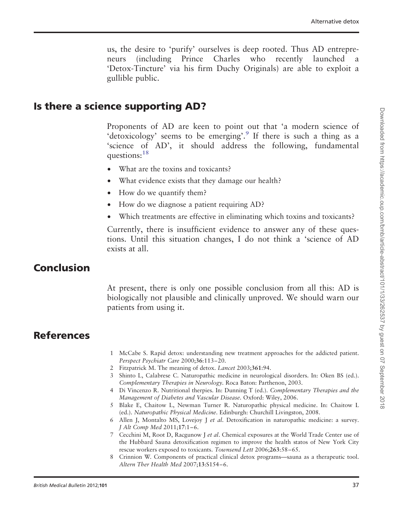us, the desire to 'purify' ourselves is deep rooted. Thus AD entrepreneurs (including Prince Charles who recently launched a 'Detox-Tincture' via his firm Duchy Originals) are able to exploit a gullible public.

## <span id="page-4-0"></span>Is there a science supporting AD?

Proponents of AD are keen to point out that 'a modern science of 'detoxicology' seems to be emerging'.<sup>[9](#page-5-0)</sup> If there is such a thing as a 'science of AD', it should address the following, fundamental questions:[18](#page-5-0)

- † What are the toxins and toxicants?
- What evidence exists that they damage our health?
- † How do we quantify them?
- How do we diagnose a patient requiring AD?
- † Which treatments are effective in eliminating which toxins and toxicants?

Currently, there is insufficient evidence to answer any of these questions. Until this situation changes, I do not think a 'science of AD exists at all.

# Conclusion

At present, there is only one possible conclusion from all this: AD is biologically not plausible and clinically unproved. We should warn our patients from using it.

# References

- 1 McCabe S. Rapid detox: understanding new treatment approaches for the addicted patient. Perspect Psychiatr Care 2000;36:113–20.
- 2 Fitzpatrick M. The meaning of detox. Lancet 2003;361:94.
- 3 Shinto L, Calabrese C. Naturopathic medicine in neurological disorders. In: Oken BS (ed.). Complementary Therapies in Neurology. Roca Baton: Parthenon, 2003.
- 4 Di Vincenzo R. Nutritional therpies. In: Dunning T (ed.). Complementary Therapies and the Management of Diabetes and Vascular Disease. Oxford: Wiley, 2006.
- 5 Blake E, Chaitow L, Newman Turner R. Naturopathic physical medicine. In: Chaitow L (ed.). Naturopathic Physical Medicine. Edinburgh: Churchill Livingston, 2008.
- 6 Allen J, Montalto MS, Lovejoy J et al. Detoxification in naturopathic medicine: a survey. J Alt Comp Med 2011;17:1–6.
- 7 Cecchini M, Root D, Racgunow J et al. Chemical exposures at the World Trade Center use of the Hubbard Sauna detoxification regimen to improve the health statos of New York City rescue workers exposed to toxicants. Townsend Lett 2006;263:58–65.
- 8 Crinnion W. Components of practical clinical detox programs—sauna as a therapeutic tool. Altern Ther Health Med 2007;13:S154–6.